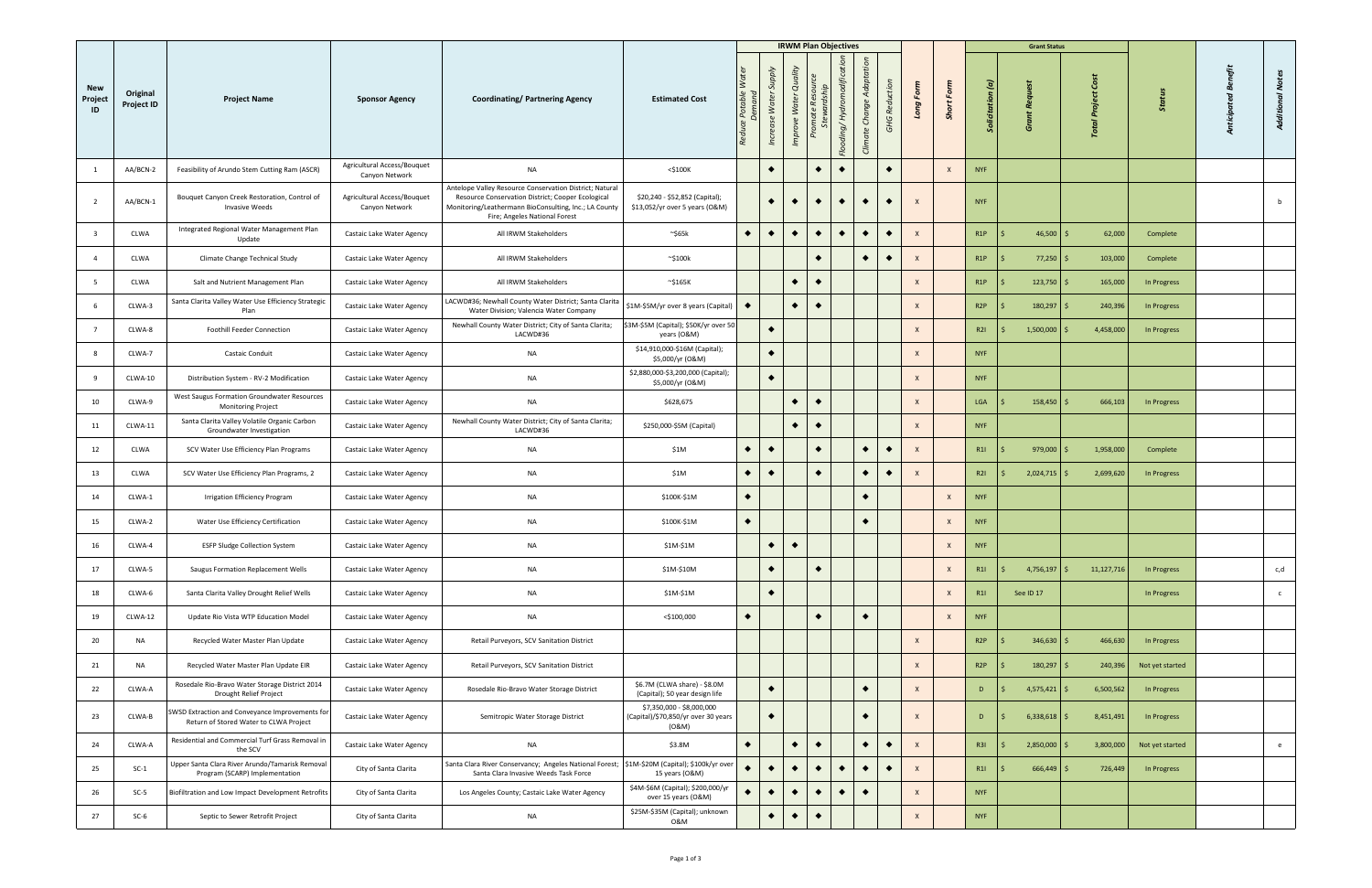|                      |                               |                                                                                           |                                               |                                                                                                                                                                                                        |                                                                           | <b>IRWM Plan Objectives</b> |                                    |                             |           |                          |                                 |                  |              |                           |                  | <b>Grant Status</b> |                          |                 |      |                         |
|----------------------|-------------------------------|-------------------------------------------------------------------------------------------|-----------------------------------------------|--------------------------------------------------------------------------------------------------------------------------------------------------------------------------------------------------------|---------------------------------------------------------------------------|-----------------------------|------------------------------------|-----------------------------|-----------|--------------------------|---------------------------------|------------------|--------------|---------------------------|------------------|---------------------|--------------------------|-----------------|------|-------------------------|
| New<br>Project<br>ID | Original<br><b>Project ID</b> | <b>Project Name</b>                                                                       | <b>Sponsor Agency</b>                         | <b>Coordinating/Partnering Agency</b>                                                                                                                                                                  | <b>Estimated Cost</b>                                                     | Water                       | <b>Supply</b><br>Water<br>Increase | Quality<br>Water<br>Improve | nte       | looding/Hydromodificatio | Adaptation<br>Change<br>Climate | Reduction<br>GHG | Form<br>Long | Ğ,<br>Short               | Solicitation (a) | nt Requ<br>Ğ        | Cost<br>Project<br>Total | Stat            | icio | <b>Additional Notes</b> |
| -1                   | AA/BCN-2                      | Feasibility of Arundo Stem Cutting Ram (ASCR)                                             | Agricultural Access/Bouquet<br>Canyon Network | <b>NA</b>                                                                                                                                                                                              | <\$100K                                                                   |                             | $\bullet$                          |                             | $\bullet$ | $\blacklozenge$          |                                 | $\blacklozenge$  |              | $\mathsf{X}$              | <b>NYF</b>       |                     |                          |                 |      |                         |
|                      | AA/BCN-1                      | Bouquet Canyon Creek Restoration, Control of<br><b>Invasive Weeds</b>                     | Agricultural Access/Bouquet<br>Canyon Network | Antelope Valley Resource Conservation District; Natural<br>Resource Conservation District; Cooper Ecological<br>Monitoring/Leathermann BioConsulting, Inc.; LA County<br>Fire; Angeles National Forest | \$20,240 - \$52,852 (Capital);<br>\$13,052/yr over 5 years (O&M)          |                             | $\bullet$                          | $\bullet$                   | $\bullet$ | $\blacklozenge$          | $\bullet$                       | $\bullet$        |              |                           | <b>NYF</b>       |                     |                          |                 |      | b                       |
| ્વ                   | <b>CLWA</b>                   | Integrated Regional Water Management Plan<br>Update                                       | Castaic Lake Water Agency                     | All IRWM Stakeholders                                                                                                                                                                                  | $~^{\sim}$ \$65 $~$ k                                                     | $\bullet$                   | $\bullet$                          | $\bullet$                   |           | ٠                        | ٠                               | $\bullet$        | $\mathsf{x}$ |                           | R1P              | $46,500$ \$         | 62,000                   | Complete        |      |                         |
|                      | <b>CLWA</b>                   | Climate Change Technical Study                                                            | Castaic Lake Water Agency                     | All IRWM Stakeholders                                                                                                                                                                                  | $\sim$ \$100 $k$                                                          |                             |                                    |                             | ٠         |                          | $\bullet$                       | $\bullet$        |              |                           | R1P              | $77,250$ \$         | 103,000                  | Complete        |      |                         |
| - 5                  | CLWA                          | Salt and Nutrient Management Plan                                                         | Castaic Lake Water Agency                     | All IRWM Stakeholders                                                                                                                                                                                  | $~^{\sim}$ \$165K                                                         |                             |                                    | $\bullet$                   | $\bullet$ |                          |                                 |                  | $\mathsf{X}$ |                           | R1P              | $123,750$ \$        | 165,000                  | In Progress     |      |                         |
| - 6                  | CLWA-3                        | Santa Clarita Valley Water Use Efficiency Strategic<br>Plan                               | Castaic Lake Water Agency                     | LACWD#36; Newhall County Water District; Santa Clarita<br>Water Division; Valencia Water Company                                                                                                       | \$1M-\$5M/yr over 8 years (Capital)                                       | $\bullet$                   |                                    | $\bullet$                   | $\bullet$ |                          |                                 |                  | $\mathsf{x}$ |                           | R <sub>2</sub> P | $180,297$ \$        | 240,396                  | In Progress     |      |                         |
|                      | CLWA-8                        | Foothill Feeder Connection                                                                | Castaic Lake Water Agency                     | Newhall County Water District; City of Santa Clarita;<br>LACWD#36                                                                                                                                      | \$3M-\$5M (Capital); \$50K/yr over 50<br>years (O&M)                      |                             | $\bullet$                          |                             |           |                          |                                 |                  | $\mathsf{x}$ |                           | R2I              | $1,500,000$   \$    | 4,458,000                | In Progress     |      |                         |
| -8                   | CLWA-7                        | Castaic Conduit                                                                           | Castaic Lake Water Agency                     | <b>NA</b>                                                                                                                                                                                              | \$14,910,000-\$16M (Capital);<br>\$5,000/yr (O&M)                         |                             | $\bullet$                          |                             |           |                          |                                 |                  |              |                           | <b>NYF</b>       |                     |                          |                 |      |                         |
| -9                   | CLWA-10                       | Distribution System - RV-2 Modification                                                   | Castaic Lake Water Agency                     | <b>NA</b>                                                                                                                                                                                              | \$2,880,000-\$3,200,000 (Capital);<br>\$5,000/yr (O&M)                    |                             | $\bullet$                          |                             |           |                          |                                 |                  |              |                           | <b>NYF</b>       |                     |                          |                 |      |                         |
| 10                   | CLWA-9                        | West Saugus Formation Groundwater Resources<br><b>Monitoring Project</b>                  | Castaic Lake Water Agency                     | NA                                                                                                                                                                                                     | \$628,675                                                                 |                             |                                    | $\bullet$                   | $\bullet$ |                          |                                 |                  | $\mathsf{x}$ |                           | LGA              | 158,450             | 666,103                  | In Progress     |      |                         |
| 11                   | CLWA-11                       | Santa Clarita Valley Volatile Organic Carbon<br>Groundwater Investigation                 | Castaic Lake Water Agency                     | Newhall County Water District; City of Santa Clarita;<br>LACWD#36                                                                                                                                      | \$250,000-\$5M (Capital)                                                  |                             |                                    | $\bullet$                   | ٠         |                          |                                 |                  |              |                           | <b>NYF</b>       |                     |                          |                 |      |                         |
| 12                   | <b>CLWA</b>                   | SCV Water Use Efficiency Plan Programs                                                    | Castaic Lake Water Agency                     | <b>NA</b>                                                                                                                                                                                              | \$1M                                                                      | $\bullet$                   | $\bullet$                          |                             | ٠         |                          | $\blacklozenge$                 | $\bullet$        |              |                           | R11              | 979,000             | 1,958,000                | Complete        |      |                         |
| 13                   | <b>CLWA</b>                   | SCV Water Use Efficiency Plan Programs, 2                                                 | Castaic Lake Water Agency                     | <b>NA</b>                                                                                                                                                                                              | \$1M                                                                      | $\bullet$                   | $\bullet$                          |                             | ٠         |                          | $\bullet$                       | $\bullet$        | $\mathsf{X}$ |                           | R2I              | $2,024,715$ \$      | 2,699,620                | In Progress     |      |                         |
| 14                   | CLWA-1                        | Irrigation Efficiency Program                                                             | Castaic Lake Water Agency                     | <b>NA</b>                                                                                                                                                                                              | \$100K-\$1M                                                               | $\bullet$                   |                                    |                             |           |                          | $\bullet$                       |                  |              |                           | <b>NYF</b>       |                     |                          |                 |      |                         |
| 15                   | CLWA-2                        | Water Use Efficiency Certification                                                        | Castaic Lake Water Agency                     | NA                                                                                                                                                                                                     | \$100K-\$1M                                                               | $\bullet$                   |                                    |                             |           |                          | $\bullet$                       |                  |              | $\times$                  | <b>NYF</b>       |                     |                          |                 |      |                         |
| 16                   | CLWA-4                        | <b>ESFP Sludge Collection System</b>                                                      | Castaic Lake Water Agency                     | <b>NA</b>                                                                                                                                                                                              | \$1M-\$1M                                                                 |                             | $\bullet$                          | $\bullet$                   |           |                          |                                 |                  |              |                           | <b>NYF</b>       |                     |                          |                 |      |                         |
| 17                   | CLWA-5                        | Saugus Formation Replacement Wells                                                        | Castaic Lake Water Agency                     | <b>NA</b>                                                                                                                                                                                              | \$1M-\$10M                                                                |                             | $\bullet$                          |                             | $\bullet$ |                          |                                 |                  |              | $\times$                  | R11              | $4,756,197$ \$      | 11,127,716               | In Progress     |      | c,d                     |
| 18                   | CLWA-6                        | Santa Clarita Valley Drought Relief Wells                                                 | Castaic Lake Water Agency                     | <b>NA</b>                                                                                                                                                                                              | \$1M-\$1M                                                                 |                             | $\blacklozenge$                    |                             |           |                          |                                 |                  |              | $\boldsymbol{\mathsf{X}}$ | R <sub>1</sub>   | See ID 17           |                          | In Progress     |      | $\mathsf{C}$            |
| 19                   | CLWA-12                       | Update Rio Vista WTP Education Model                                                      | Castaic Lake Water Agency                     | <b>NA</b>                                                                                                                                                                                              | <\$100,000                                                                | $\bullet$                   |                                    |                             | $\bullet$ |                          | $\blacklozenge$                 |                  |              |                           | <b>NYF</b>       |                     |                          |                 |      |                         |
| 20                   | NA                            | Recycled Water Master Plan Update                                                         | Castaic Lake Water Agency                     | Retail Purveyors, SCV Sanitation District                                                                                                                                                              |                                                                           |                             |                                    |                             |           |                          |                                 |                  | $\mathsf{X}$ |                           | R <sub>2</sub> P | $346,630$ \$        | 466,630                  | In Progress     |      |                         |
| 21                   | <b>NA</b>                     | Recycled Water Master Plan Update EIR                                                     | Castaic Lake Water Agency                     | Retail Purveyors, SCV Sanitation District                                                                                                                                                              |                                                                           |                             |                                    |                             |           |                          |                                 |                  | $\mathsf{X}$ |                           | R <sub>2</sub> P | $180,297$ \$        | 240,396                  | Not yet started |      |                         |
| 22                   | CLWA-A                        | Rosedale Rio-Bravo Water Storage District 2014<br>Drought Relief Project                  | Castaic Lake Water Agency                     | Rosedale Rio-Bravo Water Storage District                                                                                                                                                              | \$6.7M (CLWA share) - \$8.0M<br>(Capital); 50 year design life            |                             | $\bullet$                          |                             |           |                          | $\bullet$                       |                  | $\mathsf{X}$ |                           | D                | $4,575,421$ \$      | 6,500,562                | In Progress     |      |                         |
| 23                   | CLWA-B                        | SWSD Extraction and Conveyance Improvements for<br>Return of Stored Water to CLWA Project | Castaic Lake Water Agency                     | Semitropic Water Storage District                                                                                                                                                                      | \$7,350,000 - \$8,000,000<br>(Capital)/\$70,850/yr over 30 years<br>(0&M) |                             | $\bullet$                          |                             |           |                          | $\bullet$                       |                  |              |                           | D                | $6,338,618$ \$      | 8,451,491                | In Progress     |      |                         |
| 24                   | CLWA-A                        | Residential and Commercial Turf Grass Removal in<br>the SCV                               | Castaic Lake Water Agency                     | NA                                                                                                                                                                                                     | \$3.8M                                                                    | $\bullet$                   |                                    | $\bullet$                   | $\bullet$ |                          | $\blacklozenge$                 | $\bullet$        |              |                           | R3I              | 2,850,000           | 3,800,000                | Not yet started |      | e                       |
| 25                   | $SC-1$                        | Upper Santa Clara River Arundo/Tamarisk Removal<br>Program (SCARP) Implementation         | City of Santa Clarita                         | Santa Clara River Conservancy; Angeles National Forest;<br>Santa Clara Invasive Weeds Task Force                                                                                                       | \$1M-\$20M (Capital); \$100k/yr over<br>15 years (O&M)                    | $\bullet$                   | $\bullet$                          | $\bullet$                   | $\bullet$ | $\blacklozenge$          | $\bullet$                       | $\bullet$        | $\mathsf{x}$ |                           | R11              | $666,449$ \$        | 726,449                  | In Progress     |      |                         |
| 26                   | $SC-5$                        | Biofiltration and Low Impact Development Retrofits                                        | City of Santa Clarita                         | Los Angeles County; Castaic Lake Water Agency                                                                                                                                                          | \$4M-\$6M (Capital); \$200,000/yr<br>over 15 years (O&M)                  | $\bullet$                   | $\bullet$                          | $\bullet$                   | ٠         | $\bullet$                | $\blacklozenge$                 |                  | $\mathsf{x}$ |                           | <b>NYF</b>       |                     |                          |                 |      |                         |
| 27                   | $SC-6$                        | Septic to Sewer Retrofit Project                                                          | City of Santa Clarita                         | <b>NA</b>                                                                                                                                                                                              | \$25M-\$35M (Capital); unknown<br>0&M                                     |                             | $\bullet$                          | $\bullet$                   | $\bullet$ |                          |                                 |                  | $\mathsf{X}$ |                           | <b>NYF</b>       |                     |                          |                 |      |                         |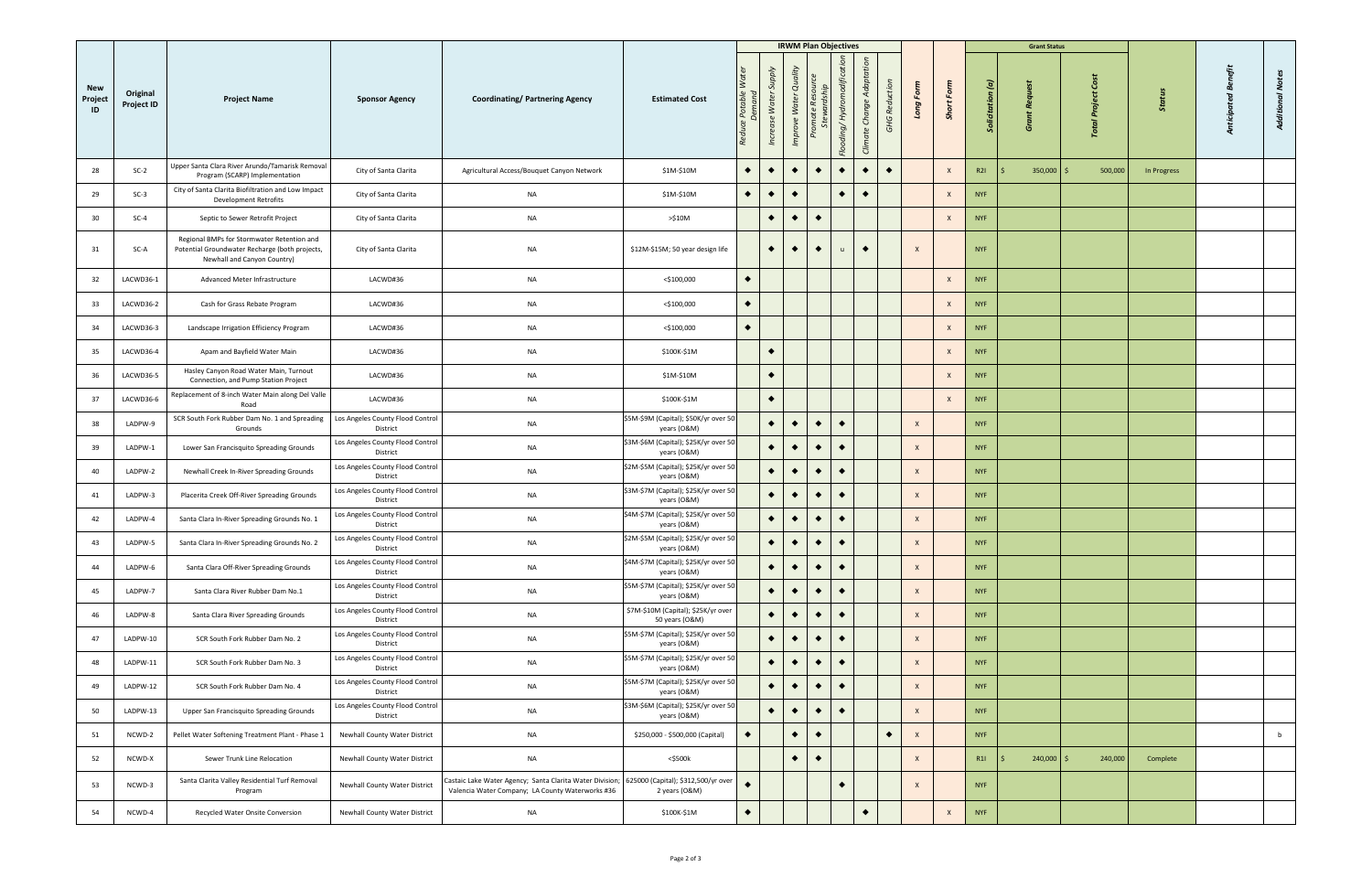|                      |                               |                                                                                                                             | <b>IRWM Plan Objectives</b>                  |                                                                                                              |                                                       |           |                             |                                    |           |                               |                                  |                  |              |                           | <b>Grant Status</b> |             |              |                              |             |             |                         |
|----------------------|-------------------------------|-----------------------------------------------------------------------------------------------------------------------------|----------------------------------------------|--------------------------------------------------------------------------------------------------------------|-------------------------------------------------------|-----------|-----------------------------|------------------------------------|-----------|-------------------------------|----------------------------------|------------------|--------------|---------------------------|---------------------|-------------|--------------|------------------------------|-------------|-------------|-------------------------|
| New<br>Project<br>ID | Original<br><b>Project ID</b> | <b>Project Name</b>                                                                                                         | <b>Sponsor Agency</b>                        | <b>Coordinating/Partnering Agency</b>                                                                        | <b>Estimated Cost</b>                                 |           | Supply<br>Water<br>Increase | $\vec{\alpha}$<br>Water<br>Improve | mote      | Hydromodificatio<br>Flooding/ | Adaptation<br>Change.<br>Climate | Reduction<br>GHG | ě<br>Long    | Form<br>Short             | Solicitation (a)    | ont Re<br>Ğ |              | Cost<br><b>Total Project</b> | Stat        | P3<br>icipi | <b>Additional Notes</b> |
| 28                   | $SC-2$                        | Upper Santa Clara River Arundo/Tamarisk Removal<br>Program (SCARP) Implementation                                           | City of Santa Clarita                        | Agricultural Access/Bouquet Canyon Network                                                                   | \$1M-\$10M                                            | $\bullet$ | $\bullet$                   | $\bullet$                          | ٠         | $\bullet$                     | $\bullet$                        | $\bullet$        |              | $\boldsymbol{\mathsf{X}}$ | R2I                 |             | $350,000$ \$ | 500,000                      | In Progress |             |                         |
| 29                   | $SC-3$                        | City of Santa Clarita Biofiltration and Low Impact<br>Development Retrofits                                                 | City of Santa Clarita                        | <b>NA</b>                                                                                                    | \$1M-\$10M                                            | $\bullet$ | $\bullet$                   | $\bullet$                          |           | ٠                             | $\bullet$                        |                  |              | $\boldsymbol{\mathsf{X}}$ | <b>NYF</b>          |             |              |                              |             |             |                         |
| 30                   | $SC-4$                        | Septic to Sewer Retrofit Project                                                                                            | City of Santa Clarita                        | <b>NA</b>                                                                                                    | >\$10M                                                |           | $\blacklozenge$             | $\blacklozenge$                    | ٠         |                               |                                  |                  |              | $\mathsf{x}$              | <b>NYF</b>          |             |              |                              |             |             |                         |
| 31                   | SC-A                          | Regional BMPs for Stormwater Retention and<br>Potential Groundwater Recharge (both projects,<br>Newhall and Canyon Country) | City of Santa Clarita                        | NA                                                                                                           | \$12M-\$15M; 50 year design life                      |           | $\bullet$                   | $\bullet$                          | ٠         | $\mathsf{u}$                  | $\bullet$                        |                  | $\mathsf{x}$ |                           | <b>NYF</b>          |             |              |                              |             |             |                         |
| 32                   | LACWD36-1                     | Advanced Meter Infrastructure                                                                                               | LACWD#36                                     | NA                                                                                                           | <\$100,000                                            | $\bullet$ |                             |                                    |           |                               |                                  |                  |              | $\boldsymbol{X}$          | <b>NYF</b>          |             |              |                              |             |             |                         |
| 33                   | LACWD36-2                     | Cash for Grass Rebate Program                                                                                               | LACWD#36                                     | NA                                                                                                           | <\$100,000                                            | $\bullet$ |                             |                                    |           |                               |                                  |                  |              | $\boldsymbol{\mathsf{X}}$ | <b>NYF</b>          |             |              |                              |             |             |                         |
| 34                   | LACWD36-3                     | Landscape Irrigation Efficiency Program                                                                                     | LACWD#36                                     | <b>NA</b>                                                                                                    | <\$100,000                                            | $\bullet$ |                             |                                    |           |                               |                                  |                  |              | $\boldsymbol{\mathsf{x}}$ | <b>NYF</b>          |             |              |                              |             |             |                         |
| 35                   | LACWD36-4                     | Apam and Bayfield Water Main                                                                                                | LACWD#36                                     | NA                                                                                                           | \$100K-\$1M                                           |           | $\blacklozenge$             |                                    |           |                               |                                  |                  |              | X                         | <b>NYF</b>          |             |              |                              |             |             |                         |
| 36                   | LACWD36-5                     | Hasley Canyon Road Water Main, Turnout<br>Connection, and Pump Station Project                                              | LACWD#36                                     | <b>NA</b>                                                                                                    | \$1M-\$10M                                            |           | $\bullet$                   |                                    |           |                               |                                  |                  |              | $\boldsymbol{\mathsf{X}}$ | <b>NYF</b>          |             |              |                              |             |             |                         |
| 37                   | LACWD36-6                     | Replacement of 8-inch Water Main along Del Valle<br>Road                                                                    | LACWD#36                                     | NA                                                                                                           | \$100K-\$1M                                           |           | $\blacklozenge$             |                                    |           |                               |                                  |                  |              | $\boldsymbol{X}$          | <b>NYF</b>          |             |              |                              |             |             |                         |
| 38                   | LADPW-9                       | SCR South Fork Rubber Dam No. 1 and Spreading<br>Grounds                                                                    | Los Angeles County Flood Control<br>District | <b>NA</b>                                                                                                    | \$5M-\$9M (Capital); \$50K/yr over 50<br>years (O&M)  |           | $\blacklozenge$             | $\bullet$                          | ٠         | $\bullet$                     |                                  |                  | $\mathsf{x}$ |                           | <b>NYF</b>          |             |              |                              |             |             |                         |
| 39                   | LADPW-1                       | Lower San Francisquito Spreading Grounds                                                                                    | Los Angeles County Flood Control<br>District | <b>NA</b>                                                                                                    | \$3M-\$6M (Capital); \$25K/yr over 50<br>years (O&M)  |           | $\blacklozenge$             | $\bullet$                          |           | ٠                             |                                  |                  | $\mathsf{x}$ |                           | <b>NYF</b>          |             |              |                              |             |             |                         |
| 40                   | LADPW-2                       | Newhall Creek In-River Spreading Grounds                                                                                    | Los Angeles County Flood Control<br>District | <b>NA</b>                                                                                                    | \$2M-\$5M (Capital); \$25K/yr over 50<br>years (O&M)  |           | $\bullet$                   | $\blacklozenge$                    | ٠         | $\bullet$                     |                                  |                  | $\mathsf{x}$ |                           | <b>NYF</b>          |             |              |                              |             |             |                         |
| 41                   | LADPW-3                       | Placerita Creek Off-River Spreading Grounds                                                                                 | Los Angeles County Flood Control<br>District | NA                                                                                                           | \$3M-\$7M (Capital); \$25K/yr over 50<br>years (O&M)  |           | $\bullet$                   | $\bullet$                          |           | $\bullet$                     |                                  |                  | $\mathsf{x}$ |                           | <b>NYF</b>          |             |              |                              |             |             |                         |
| 42                   | LADPW-4                       | Santa Clara In-River Spreading Grounds No. 1                                                                                | Los Angeles County Flood Control<br>District | NA                                                                                                           | \$4M-\$7M (Capital); \$25K/yr over 50<br>years (O&M)  |           | $\blacklozenge$             | $\blacklozenge$                    | ٠         | $\bullet$                     |                                  |                  |              |                           | <b>NYF</b>          |             |              |                              |             |             |                         |
| 43                   | LADPW-5                       | Santa Clara In-River Spreading Grounds No. 2                                                                                | Los Angeles County Flood Control<br>District | NA                                                                                                           | \$2M-\$5M (Capital); \$25K/yr over 50<br>years (O&M)  |           | $\bullet$                   | $\bullet$                          | $\bullet$ | $\bullet$                     |                                  |                  |              |                           | <b>NYF</b>          |             |              |                              |             |             |                         |
| 44                   | LADPW-6                       | Santa Clara Off-River Spreading Grounds                                                                                     | Los Angeles County Flood Control<br>District | <b>NA</b>                                                                                                    | \$4M-\$7M (Capital); \$25K/yr over 50<br>years (O&M)  |           | $\blacklozenge$             | $\blacklozenge$                    | $\bullet$ | $\bullet$                     |                                  |                  | $\mathsf{X}$ |                           | <b>NYF</b>          |             |              |                              |             |             |                         |
| 45                   | LADPW-7                       | Santa Clara River Rubber Dam No.1                                                                                           | Los Angeles County Flood Control<br>District | <b>NA</b>                                                                                                    | \$5M-\$7M (Capital); \$25K/yr over 50<br>years (O&M)  |           | $\blacklozenge$             | $\blacklozenge$                    | ٠         | $\bullet$                     |                                  |                  | $\mathsf{X}$ |                           | <b>NYF</b>          |             |              |                              |             |             |                         |
| 46                   | LADPW-8                       | Santa Clara River Spreading Grounds                                                                                         | Los Angeles County Flood Control<br>District | <b>NA</b>                                                                                                    | \$7M-\$10M (Capital); \$25K/yr over<br>50 years (O&M) |           | $\bullet$                   | $\blacklozenge$                    | $\bullet$ | $\bullet$                     |                                  |                  | $\mathsf{X}$ |                           | <b>NYF</b>          |             |              |                              |             |             |                         |
| 47                   | LADPW-10                      | SCR South Fork Rubber Dam No. 2                                                                                             | Los Angeles County Flood Control<br>District | <b>NA</b>                                                                                                    | \$5M-\$7M (Capital); \$25K/yr over 50<br>years (O&M)  |           | $\blacklozenge$             | $\blacklozenge$                    | ٠         | $\bullet$                     |                                  |                  | $\mathsf{X}$ |                           | <b>NYF</b>          |             |              |                              |             |             |                         |
| 48                   | LADPW-11                      | SCR South Fork Rubber Dam No. 3                                                                                             | Los Angeles County Flood Control<br>District | <b>NA</b>                                                                                                    | \$5M-\$7M (Capital); \$25K/yr over 50<br>years (O&M)  |           | $\bullet$                   | $\blacklozenge$                    | $\bullet$ | $\bullet$                     |                                  |                  | $\mathsf{X}$ |                           | <b>NYF</b>          |             |              |                              |             |             |                         |
| 49                   | LADPW-12                      | SCR South Fork Rubber Dam No. 4                                                                                             | Los Angeles County Flood Control<br>District | <b>NA</b>                                                                                                    | \$5M-\$7M (Capital); \$25K/yr over 50<br>years (O&M)  |           | $\blacklozenge$             | $\blacklozenge$                    | $\bullet$ | $\bullet$                     |                                  |                  | $\mathsf{x}$ |                           | <b>NYF</b>          |             |              |                              |             |             |                         |
| 50                   | LADPW-13                      | Upper San Francisquito Spreading Grounds                                                                                    | Los Angeles County Flood Control<br>District | <b>NA</b>                                                                                                    | \$3M-\$6M (Capital); \$25K/yr over 50<br>years (O&M)  |           | $\blacklozenge$             | $\blacklozenge$                    | ٠         | $\bullet$                     |                                  |                  | $\mathsf{x}$ |                           | <b>NYF</b>          |             |              |                              |             |             |                         |
| 51                   | NCWD-2                        | Pellet Water Softening Treatment Plant - Phase 1                                                                            | Newhall County Water District                | <b>NA</b>                                                                                                    | \$250,000 - \$500,000 (Capital)                       | $\bullet$ |                             | $\blacklozenge$                    | ٠         |                               |                                  | $\bullet$        |              |                           | <b>NYF</b>          |             |              |                              |             |             | b                       |
| 52                   | NCWD-X                        | Sewer Trunk Line Relocation                                                                                                 | Newhall County Water District                | <b>NA</b>                                                                                                    | <\$500k                                               |           |                             | $\bullet$                          | $\bullet$ |                               |                                  |                  | $\mathsf{X}$ |                           | R11                 |             | $240,000$ \$ | 240,000                      | Complete    |             |                         |
| 53                   | NCWD-3                        | Santa Clarita Valley Residential Turf Removal<br>Program                                                                    | Newhall County Water District                | Castaic Lake Water Agency; Santa Clarita Water Division;<br>Valencia Water Company; LA County Waterworks #36 | 625000 (Capital); \$312,500/yr over<br>2 years (O&M)  |           |                             |                                    |           | $\bullet$                     |                                  |                  | $\mathsf{x}$ |                           | <b>NYF</b>          |             |              |                              |             |             |                         |
| 54                   | NCWD-4                        | Recycled Water Onsite Conversion                                                                                            | Newhall County Water District                | NA                                                                                                           | \$100K-\$1M                                           | $\bullet$ |                             |                                    |           |                               | $\blacklozenge$                  |                  |              | $\boldsymbol{\mathsf{X}}$ | <b>NYF</b>          |             |              |                              |             |             |                         |